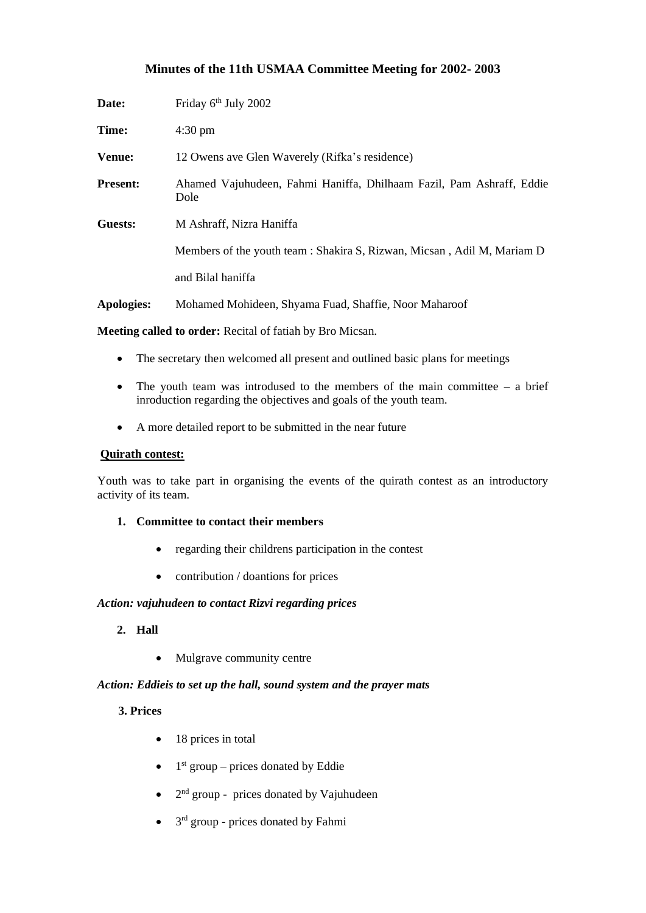# **Minutes of the 11th USMAA Committee Meeting for 2002- 2003**

| Date:           | Friday 6 <sup>th</sup> July 2002                                             |
|-----------------|------------------------------------------------------------------------------|
| Time:           | $4:30 \text{ pm}$                                                            |
| <b>Venue:</b>   | 12 Owens ave Glen Waverely (Rifka's residence)                               |
| <b>Present:</b> | Ahamed Vajuhudeen, Fahmi Haniffa, Dhilhaam Fazil, Pam Ashraff, Eddie<br>Dole |
| Guests:         | M Ashraff, Nizra Haniffa                                                     |
|                 | Members of the youth team : Shakira S, Rizwan, Micsan, Adil M, Mariam D      |
|                 | and Bilal haniffa                                                            |
| Apologies:      | Mohamed Mohideen, Shyama Fuad, Shaffie, Noor Maharoof                        |

**Meeting called to order:** Recital of fatiah by Bro Micsan.

- The secretary then welcomed all present and outlined basic plans for meetings
- The youth team was introdused to the members of the main committee  $-$  a brief inroduction regarding the objectives and goals of the youth team.
- A more detailed report to be submitted in the near future

#### **Quirath contest:**

Youth was to take part in organising the events of the quirath contest as an introductory activity of its team.

- **1. Committee to contact their members** 
	- regarding their childrens participation in the contest
	- contribution / doantions for prices

#### *Action: vajuhudeen to contact Rizvi regarding prices*

- **2. Hall**
	- Mulgrave community centre

#### *Action: Eddieis to set up the hall, sound system and the prayer mats*

## **3. Prices**

- 18 prices in total
- $\bullet$  1<sup>st</sup> group prices donated by Eddie
- 2<sup>nd</sup> group prices donated by Vajuhudeen
- $\bullet$  3<sup>rd</sup> group prices donated by Fahmi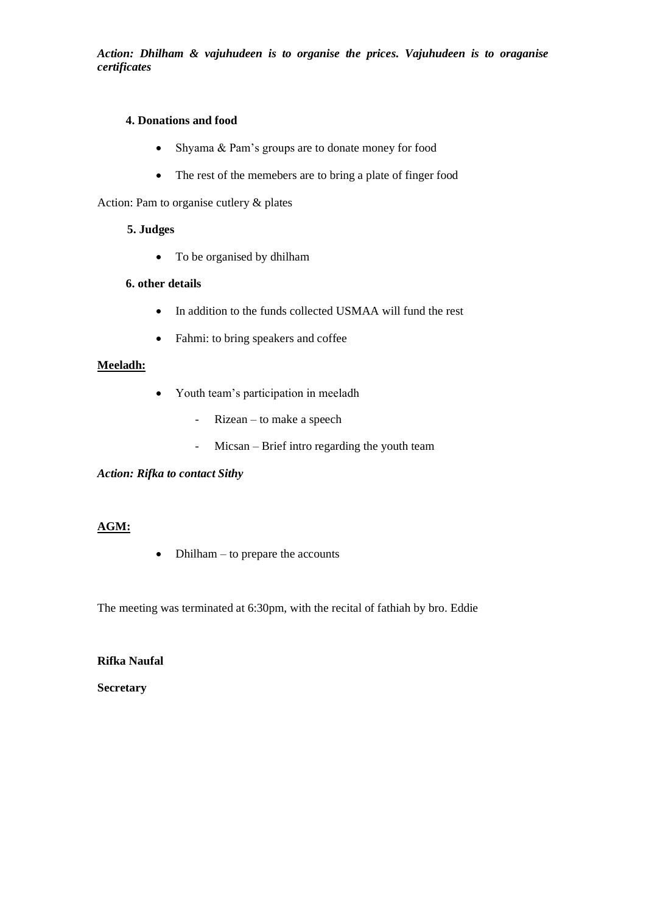*Action: Dhilham & vajuhudeen is to organise the prices. Vajuhudeen is to oraganise certificates*

## **4. Donations and food**

- Shyama & Pam's groups are to donate money for food
- The rest of the memebers are to bring a plate of finger food

Action: Pam to organise cutlery & plates

#### **5. Judges**

• To be organised by dhilham

#### **6. other details**

- In addition to the funds collected USMAA will fund the rest
- Fahmi: to bring speakers and coffee

#### **Meeladh:**

- Youth team's participation in meeladh
	- Rizean to make a speech
	- Micsan Brief intro regarding the youth team

*Action: Rifka to contact Sithy*

#### **AGM:**

• Dhilham – to prepare the accounts

The meeting was terminated at 6:30pm, with the recital of fathiah by bro. Eddie

**Rifka Naufal**

**Secretary**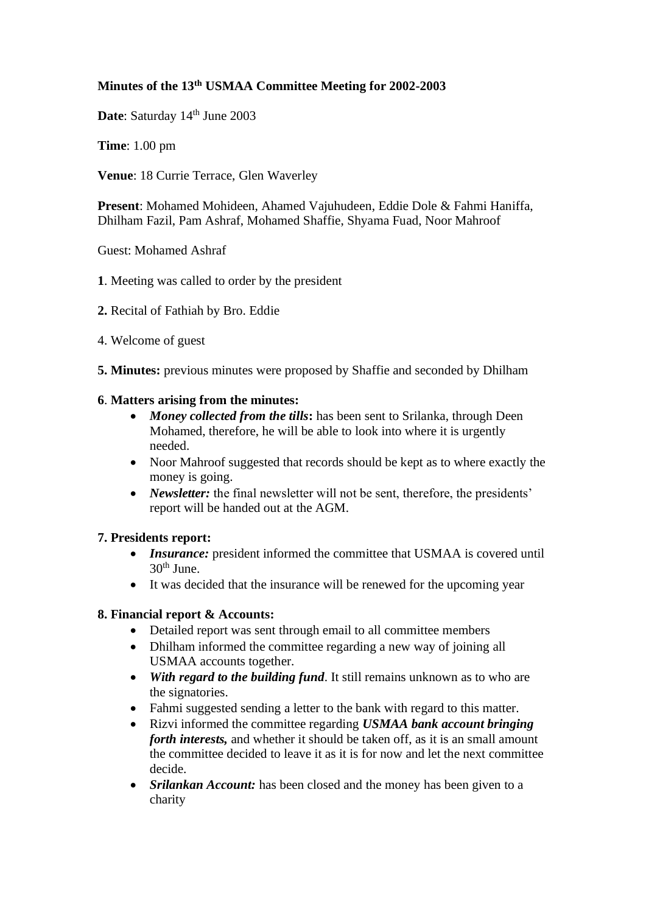# **Minutes of the 13th USMAA Committee Meeting for 2002-2003**

Date: Saturday 14<sup>th</sup> June 2003

**Time**: 1.00 pm

**Venue**: 18 Currie Terrace, Glen Waverley

**Present**: Mohamed Mohideen, Ahamed Vajuhudeen, Eddie Dole & Fahmi Haniffa, Dhilham Fazil, Pam Ashraf, Mohamed Shaffie, Shyama Fuad, Noor Mahroof

Guest: Mohamed Ashraf

- **1**. Meeting was called to order by the president
- **2.** Recital of Fathiah by Bro. Eddie
- 4. Welcome of guest
- **5. Minutes:** previous minutes were proposed by Shaffie and seconded by Dhilham

## **6**. **Matters arising from the minutes:**

- *Money collected from the tills***:** has been sent to Srilanka, through Deen Mohamed, therefore, he will be able to look into where it is urgently needed.
- Noor Mahroof suggested that records should be kept as to where exactly the money is going.
- *Newsletter:* the final newsletter will not be sent, therefore, the presidents' report will be handed out at the AGM.

## **7. Presidents report:**

- *Insurance:* president informed the committee that USMAA is covered until  $30<sup>th</sup>$  June.
- It was decided that the insurance will be renewed for the upcoming year

# **8. Financial report & Accounts:**

- Detailed report was sent through email to all committee members
- Dhilham informed the committee regarding a new way of joining all USMAA accounts together.
- *With regard to the building fund*. It still remains unknown as to who are the signatories.
- Fahmi suggested sending a letter to the bank with regard to this matter.
- Rizvi informed the committee regarding *USMAA bank account bringing forth interests,* and whether it should be taken off, as it is an small amount the committee decided to leave it as it is for now and let the next committee decide.
- *Srilankan Account:* has been closed and the money has been given to a charity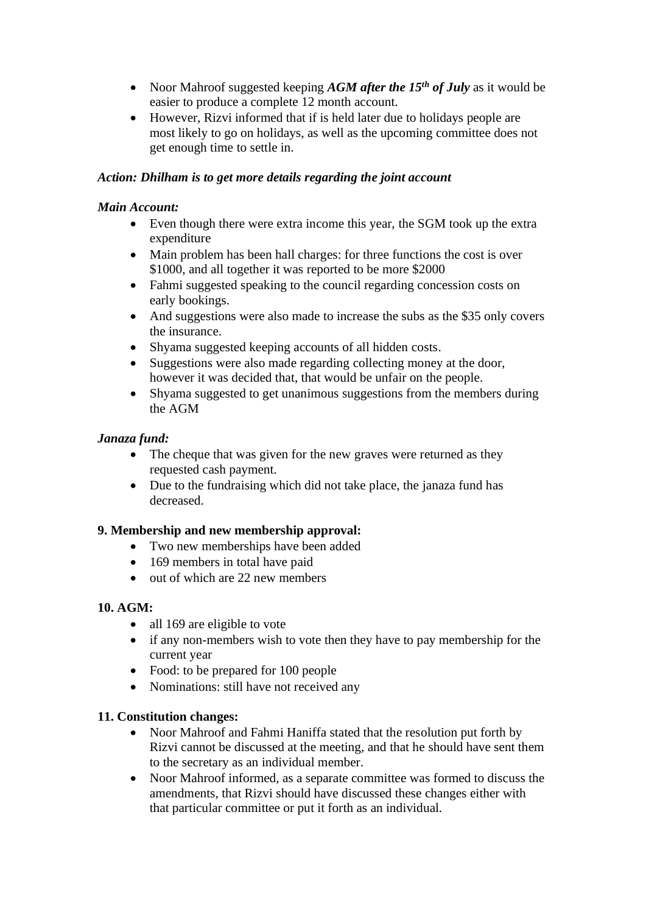- Noor Mahroof suggested keeping *AGM after the 15<sup>th</sup> of July* as it would be easier to produce a complete 12 month account.
- However, Rizvi informed that if is held later due to holidays people are most likely to go on holidays, as well as the upcoming committee does not get enough time to settle in.

# *Action: Dhilham is to get more details regarding the joint account*

# *Main Account:*

- Even though there were extra income this year, the SGM took up the extra expenditure
- Main problem has been hall charges: for three functions the cost is over \$1000, and all together it was reported to be more \$2000
- Fahmi suggested speaking to the council regarding concession costs on early bookings.
- And suggestions were also made to increase the subs as the \$35 only covers the insurance.
- Shyama suggested keeping accounts of all hidden costs.
- Suggestions were also made regarding collecting money at the door, however it was decided that, that would be unfair on the people.
- Shyama suggested to get unanimous suggestions from the members during the AGM

# *Janaza fund:*

- The cheque that was given for the new graves were returned as they requested cash payment.
- Due to the fundraising which did not take place, the janaza fund has decreased.

## **9. Membership and new membership approval:**

- Two new memberships have been added
- 169 members in total have paid
- out of which are 22 new members

# **10. AGM:**

- all 169 are eligible to vote
- if any non-members wish to vote then they have to pay membership for the current year
- Food: to be prepared for 100 people
- Nominations: still have not received any

## **11. Constitution changes:**

- Noor Mahroof and Fahmi Haniffa stated that the resolution put forth by Rizvi cannot be discussed at the meeting, and that he should have sent them to the secretary as an individual member.
- Noor Mahroof informed, as a separate committee was formed to discuss the amendments, that Rizvi should have discussed these changes either with that particular committee or put it forth as an individual.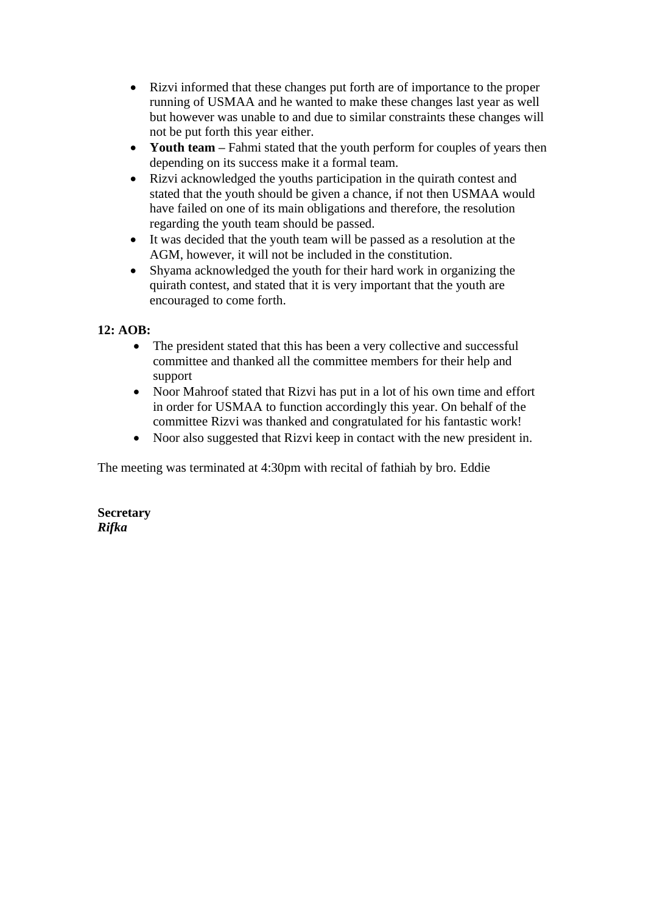- Rizvi informed that these changes put forth are of importance to the proper running of USMAA and he wanted to make these changes last year as well but however was unable to and due to similar constraints these changes will not be put forth this year either.
- **Youth team** Fahmi stated that the youth perform for couples of years then depending on its success make it a formal team.
- Rizvi acknowledged the youths participation in the quirath contest and stated that the youth should be given a chance, if not then USMAA would have failed on one of its main obligations and therefore, the resolution regarding the youth team should be passed.
- It was decided that the youth team will be passed as a resolution at the AGM, however, it will not be included in the constitution.
- Shyama acknowledged the youth for their hard work in organizing the quirath contest, and stated that it is very important that the youth are encouraged to come forth.

# **12: AOB:**

- The president stated that this has been a very collective and successful committee and thanked all the committee members for their help and support
- Noor Mahroof stated that Rizvi has put in a lot of his own time and effort in order for USMAA to function accordingly this year. On behalf of the committee Rizvi was thanked and congratulated for his fantastic work!
- Noor also suggested that Rizvi keep in contact with the new president in.

The meeting was terminated at 4:30pm with recital of fathiah by bro. Eddie

## **Secretary** *Rifka*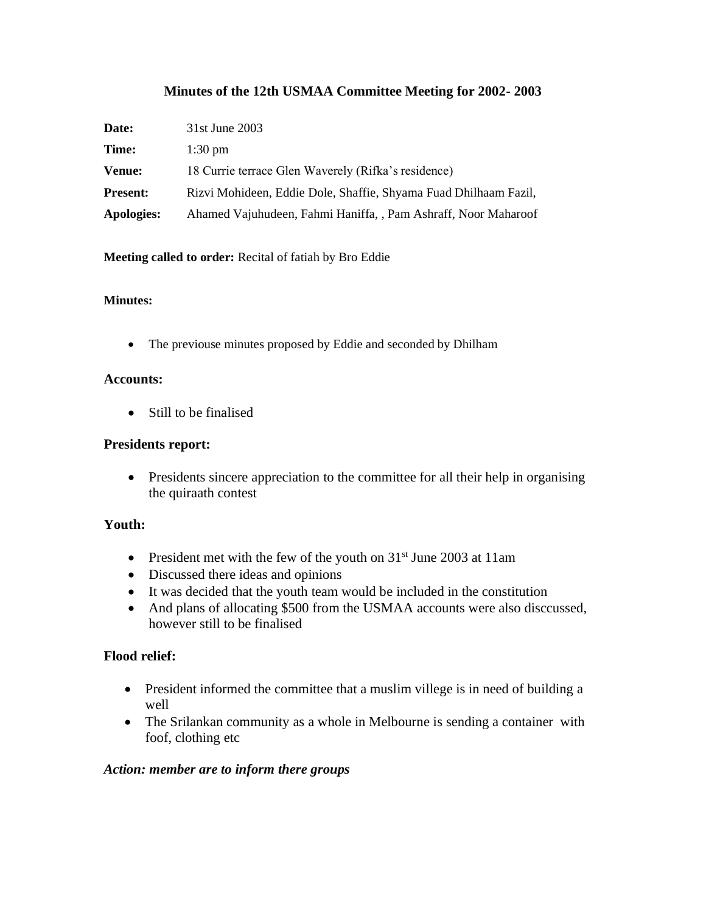# **Minutes of the 12th USMAA Committee Meeting for 2002- 2003**

| Date:           | 31st June 2003                                                   |
|-----------------|------------------------------------------------------------------|
| Time:           | $1:30 \text{ pm}$                                                |
| <b>Venue:</b>   | 18 Currie terrace Glen Waverely (Rifka's residence)              |
| <b>Present:</b> | Rizvi Mohideen, Eddie Dole, Shaffie, Shyama Fuad Dhilhaam Fazil, |
| Apologies:      | Ahamed Vajuhudeen, Fahmi Haniffa, , Pam Ashraff, Noor Maharoof   |

**Meeting called to order:** Recital of fatiah by Bro Eddie

#### **Minutes:**

• The previouse minutes proposed by Eddie and seconded by Dhilham

#### **Accounts:**

• Still to be finalised

#### **Presidents report:**

• Presidents sincere appreciation to the committee for all their help in organising the quiraath contest

## **Youth:**

- President met with the few of the youth on  $31<sup>st</sup>$  June 2003 at 11am
- Discussed there ideas and opinions
- It was decided that the youth team would be included in the constitution
- And plans of allocating \$500 from the USMAA accounts were also disccussed, however still to be finalised

## **Flood relief:**

- President informed the committee that a muslim villege is in need of building a well
- The Srilankan community as a whole in Melbourne is sending a container with foof, clothing etc

## *Action: member are to inform there groups*